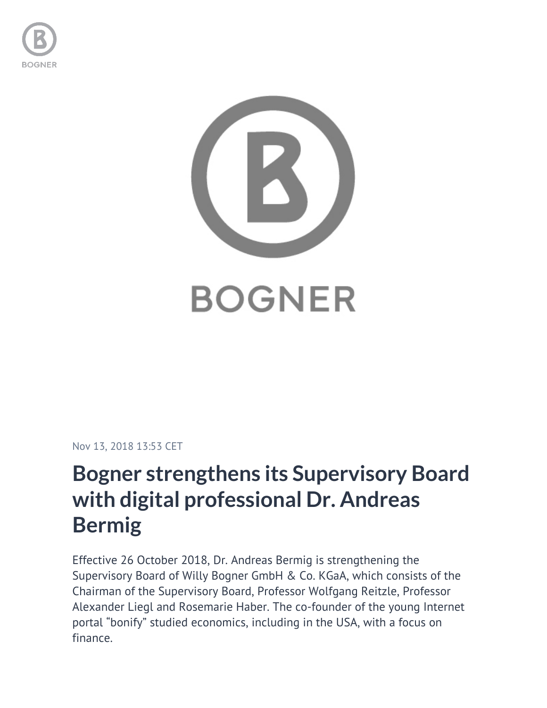



## Nov 13, 2018 13:53 CET

## **Bogner strengthens its Supervisory Board with digital professional Dr. Andreas Bermig**

Effective 26 October 2018, Dr. Andreas Bermig is strengthening the Supervisory Board of Willy Bogner GmbH & Co. KGaA, which consists of the Chairman of the Supervisory Board, Professor Wolfgang Reitzle, Professor Alexander Liegl and Rosemarie Haber. The co-founder of the young Internet portal "bonify" studied economics, including in the USA, with a focus on finance.